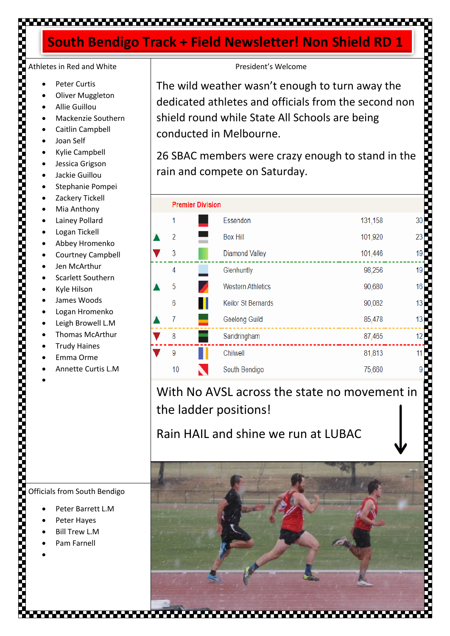### ,,,,,,,,,,,,,,,,,,,,,,

### **South Bendigo Track + Field Newsletter! Non Shield RD 1**

# Athletes in Red and White

- Peter Curtis
- **Oliver Muggleton**
- Allie Guillou
- Mackenzie Southern
- Caitlin Campbell
- Joan Self
- Kylie Campbell
- Jessica Grigson
- Jackie Guillou
- Stephanie Pompei
- Zackery Tickell
- Mia Anthony
- Lainey Pollard
- Logan Tickell
- Abbey Hromenko
- Courtney Campbell
- Jen McArthur
- Scarlett Southern
- Kyle Hilson
- James Woods
- Logan Hromenko
- Leigh Browell L.M
- Thomas McArthur
- **Trudy Haines**
- Emma Orme
- Annette Curtis L.M

•

| President's Welcome<br>The wild weather wasn't enough to turn away the<br>dedicated athletes and officials from the second non<br>shield round while State All Schools are being<br>conducted in Melbourne. |                           |         |                 |  |
|-------------------------------------------------------------------------------------------------------------------------------------------------------------------------------------------------------------|---------------------------|---------|-----------------|--|
| 26 SBAC members were crazy enough to stand in the<br>rain and compete on Saturday.                                                                                                                          |                           |         |                 |  |
| <b>Premier Division</b>                                                                                                                                                                                     |                           |         |                 |  |
| 1                                                                                                                                                                                                           | Essendon                  | 131,158 | 30              |  |
| 2                                                                                                                                                                                                           | <b>Box Hill</b>           | 101,920 | 23              |  |
| 3                                                                                                                                                                                                           | <b>Diamond Valley</b>     | 101,446 | 19              |  |
| 4                                                                                                                                                                                                           | Glenhuntly                | 98,256  | 19 <sup>°</sup> |  |
| 5                                                                                                                                                                                                           | <b>Western Athletics</b>  | 90,680  | 16              |  |
| 6                                                                                                                                                                                                           | <b>Keilor St Bernards</b> | 90,082  | 13              |  |
| 7                                                                                                                                                                                                           | Geelong Guild             | 85,478  | 13              |  |
| 8                                                                                                                                                                                                           | Sandringham               | 87,465  | 12              |  |
| 9                                                                                                                                                                                                           | Chilwell                  | 81,813  | 11              |  |
| 10                                                                                                                                                                                                          | South Bendigo             | 75,660  |                 |  |
| With No AVSL across the state no movement in<br>the ladder positions!                                                                                                                                       |                           |         |                 |  |

Rain HAIL and shine we run at LUBAC



Officials from South Bendigo

- Peter Barrett L.M
- Peter Hayes
- **Bill Trew L.M**
- Pam Farnell

•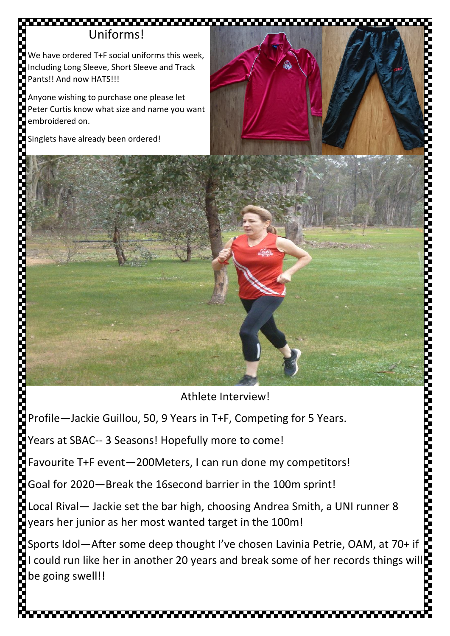## Uniforms!

We have ordered T+F social uniforms this week, Including Long Sleeve, Short Sleeve and Track Pants!! And now HATS!!!

Anyone wishing to purchase one please let Peter Curtis know what size and name you want embroidered on.

Singlets have already been ordered!

Athlete Interview!

Profile—Jackie Guillou, 50, 9 Years in T+F, Competing for 5 Years.

Years at SBAC-- 3 Seasons! Hopefully more to come!

Favourite T+F event—200Meters, I can run done my competitors!

Goal for 2020—Break the 16second barrier in the 100m sprint!

Local Rival— Jackie set the bar high, choosing Andrea Smith, a UNI runner 8 years her junior as her most wanted target in the 100m!

Sports Idol—After some deep thought I've chosen Lavinia Petrie, OAM, at 70+ if I could run like her in another 20 years and break some of her records things will be going swell!!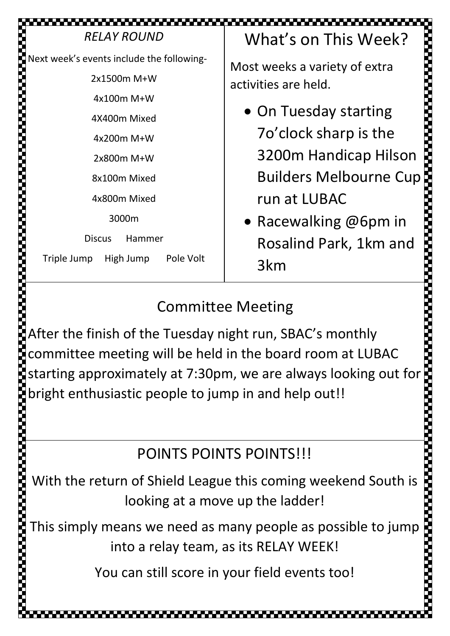| <b>RELAY ROUND</b>                                                                                                                                                                     | What's on This Week?                                                                                                                                                                                                                      |  |  |  |
|----------------------------------------------------------------------------------------------------------------------------------------------------------------------------------------|-------------------------------------------------------------------------------------------------------------------------------------------------------------------------------------------------------------------------------------------|--|--|--|
| Next week's events include the following-<br>2x1500m M+W<br>4x100m M+W<br>4X400m Mixed<br>4x200m M+W<br>2x800m M+W<br>8x100m Mixed<br>4x800m Mixed<br>3000m<br><b>Discus</b><br>Hammer | Most weeks a variety of extra<br>activities are held.<br>• On Tuesday starting<br>70'clock sharp is the<br>3200m Handicap Hilson<br><b>Builders Melbourne Cup</b> :<br>run at LUBAC<br>• Racewalking $@6$ pm in<br>Rosalind Park, 1km and |  |  |  |
| Triple Jump<br>High Jump<br>Pole Volt                                                                                                                                                  | 3km                                                                                                                                                                                                                                       |  |  |  |

## Committee Meeting

After the finish of the Tuesday night run, SBAC's monthly committee meeting will be held in the board room at LUBAC After the finish of the Tuesday night run, SBAC's monthly<br>
committee meeting will be held in the board room at LUBAC<br>
starting approximately at 7:30pm, we are always looking out for<br>
bright enthusiastic people to jump in a bright enthusiastic people to jump in and help out!!

# POINTS POINTS POINTS!!!

With the return of Shield League this coming weekend South is looking at a move up the ladder!

**Concession Concession** 

This simply means we need as many people as possible to jump into a relay team, as its RELAY WEEK!

5

You can still score in your field events too!